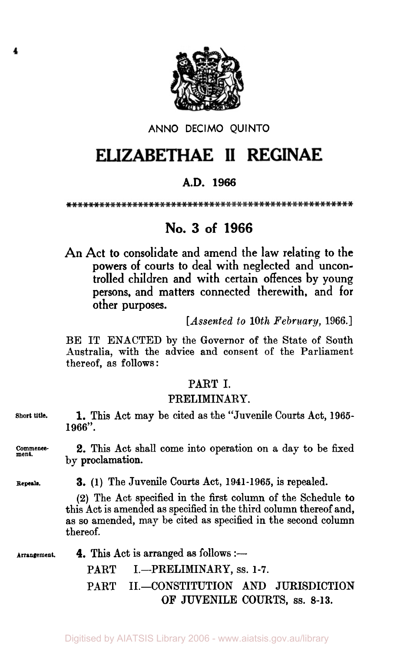

#### ANNO **DECIMO** QUINTO

# ELIZABETHAE II REGINAE

# **A.D. 1966**

# **No. 3 of 1966**

An Act to consolidate and amend the law relating to the powers of courts **to** deal with neglected and uncontrolled children and with certain offences by young persons, and matters connected therewith, and for other purposes.

*[Assented to 10th February,* **1966.]** 

BE IT ENACTED by the Governor of the State of South Australia, with the advice and consent of the Parliament thereof, as follows :

### PART I.

#### PRELIMINARY.

**Short title.** 1. This Act may be cited as the "Juvenile Courts Act, **1965- 1966".** 

Comments- **2. This** Act shall come into operation on a day to be fixed by proclamation.

**Repeals.** 

3. **(1)** The Juvenile Courts Act, **1941-1965,** is repealed.

**(2)** The Act specified in the first column of the Schedule to this Act is amended as specified in the third column thereof and, **as** so amended, may be cited as specified in the second column thereof.

Arrangement. **4.** This Act is arranged as follows :-

PART I.-PRELIMINARY, ss. 1-7.

PART II.-CONSTITUTION AND JURISDICTION **OF** JUVENILE COURTS, **SS.** 8-13.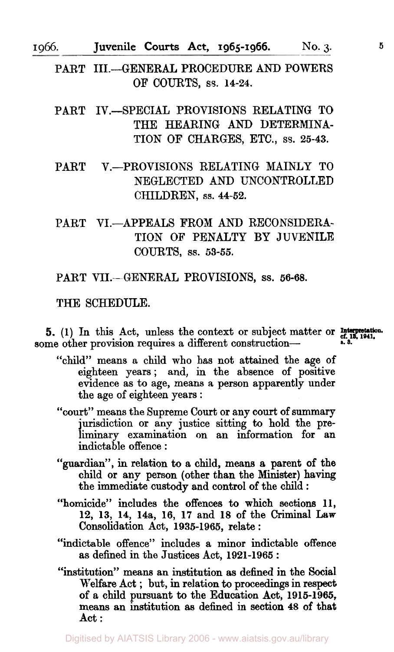I 966. Juvenile **Courts** Act, **1965-1966. No. 3. 5** 

PART III.-GENERAL PROCEDURE AND POWERS OF COURTS, **SS. 14-24.** 

PART IV.-SPECIAL PROVISIONS RELATING TO THE HEARING AND DETERMINA-TION OF CHARGES, ETC., **SS. 25-43.** 

PART V.-PROVISIONS RELATING MAINLY TO NEGLECTED AND UNCONTROLLED CHILDREN, SS. **44-52.** 

PART VI.-APPEALS FROM AND RECONSIDERA-TION OF PENALTY BY JUVENILE COURTS, SS. **53-55.** 

PART VII.--GENERAL PROVISIONS, **SS. 56-68.** 

#### THE SCHEDULE.

**Interpretation. 5. (1)** In this Act, unless the context or subject matter or **cf. 13, 1941. s. 3.**  some other provision requires a different construction-

- "child" means a child who has not attained the age of eighteen years; and, in the absence of positive evidence as to age, means a person apparently under the age of eighteen years :
- "court" means the Supreme Court or any court of summary jurisdiction or any justice sitting to hold the preliminary examination on an information for an indictable offence :
- "guardian", in relation to a child, means **a** parent of the child or any person (other than the Minister) having the immediate custody and control of the child :
- "homicide" includes the offences to which sections **11, 12, 13, 14, 14a, 16, 17** and **18** of the Criminal **Law**  Consolidation Act, **1935-1965,** relate :
- "indictable offence" includes a minor indictable offence as defined in the Justices Act, **1921-1965** :
- "institution" means an institution **as** defined in the Social Welfare Act ; but, in relation to proceedings **in** respect of a child pursuant to the Education Act, **1916-1965,**  means **an** institution **as** defined in section **48** of that Act :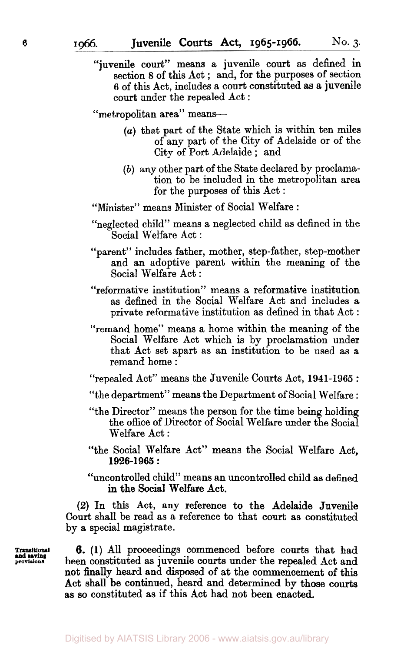"juvenile court" means a juvenile court as defined in section 8 of this Act ; and, for the purposes of section **6** of this Act, includes a court constituted as a juvenile court under the repealed Act :

"metropolitan area" means-

- *(a)* that part of the State which is within ten miles of any part of the City of Adelaide or of the City of Port Adelaide ; and
- *(b)* any other part of the State declared by proclamation to be included in the metropolitan area for the purposes of this Act :
- "Minister" means Minister of Social Welfare :
- "neglected child" means a neglected child as defined in the Social Welfare Act :
- "parent" includes father, mother, step-father, step-mother and an adoptive parent within the meaning of the Social Welfare Act :
- "reformative institution" means a reformative institution as defined in the Social Welfare Act and includes a private reformative institution as defined in that Act :
- "remand home" means a home within the meaning of the Social Welfare Act which is by proclamation under that Act set apart as an institution to be used as a remand home :

"repealed Act" means the Juvenile Courts Act, **1941-1965** :

"the department" means the Department of Social Welfare :

- "the Director" means the person for the time being holding the office of Director of Social Welfare under the Social Welfare Act :
- "the Social Welfare Act" means the Social Welfare Act, **1926-1965** :
- "uncontrolled child'' means **an** uncontrolled child as defined in the Social Welfare Act.

**(2)** In this Act, any reference to the Adelaide Juvenile Court shall be read as a reference to that court as constituted by a special magistrate.

**Transitional provisions. and saving** 

**6. (1)** All proceedings commenced before courts that had been constituted as juvenile courts under the repealed Act and not finally heard and disposed of at the commencement of this Act shall be continued, heard and determined **by** those courts as *so* constituted as if this Act had not been enacted.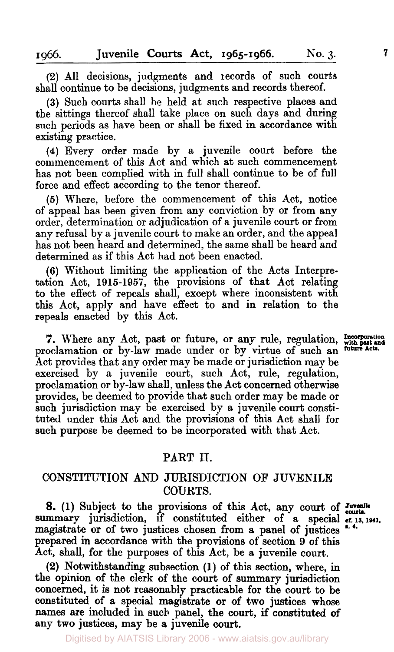**(2)** All decisions, judgments and records of such courts shall continue to be decisions, judgments and records thereof.

**(3)** Such courts shall be held at such respective places and the sittings thereof shall take place on such days and during such periods as have been or shall be fixed in accordance with existing practice.

**(4)** Every order made by a juvenile court before the commencement of this Act and which at such commencement has not been complied with in full shall continue to be of full force and effect according to the tenor thereof.

*(5)* Where, before the commencement of this Act, notice of appeal has been given from any conviction by **or** from any order, determination or adjudication of **R** juvenile court or from any refusal by a juvenile court to make an order, and the appeal has not been heard and determined, the same shall be heard and determined as if this Act had not been enacted.

**(6)** Without limiting the application of the Acts Interpretation Act, **1915-1957,** the provisions of that Act relating to the effect of repeals shall, except where inconsistent with this Act, apply and have effect to and in relation to the repeals enacted by this Act.

**7.** Where any Act, past or future, or any rule, regulation, Incorporation with past and conduct and and the set and columnation or by-law made under or by virtue of such an future Acts. proclamation or by-law made under or by virtue of such an Act provides that any order may be made or jurisdiction may be exercised by a juvenile court, such Act, rule, regulation, proclamation or by-law shall, unless the Act concerned otherwise provides, be deemed to provide that such order may be made **or**  such jurisdiction may be exercised by a juvenile court constituted under this Act and the provisions of this Act shall for such purpose be deemed to be incorporated with that Act.

#### PART 11.

#### CONSTITUTION AND JURISDICTION **OF** JUVENILE COURTS.

**8.** (1) Subject to the provisions of this Act, any court of *Juvenile* summary jurisdiction, if constituted either of a special *cf.* 13, 1941, magistrate or of two justices chosen from a panel of justices prepared in accordance with the provisions of section **9** of this Act, shall, for the purposes of this Act, be a juvenile court.

**(2)** Notwithstanding subsection **(1)** of this section, where, in the opinion of the clerk of the court of summary jurisdiction concerned, it is not reasonably practicable **for** the court to be constituted of a special magistrate **or** of two justices whose names are included in such panel, the court, if constituted *of*  **any** two justices, map be **a** juvenile court.

Digitised by AIATSIS Library 2006 - www.aiatsis.gov.au/library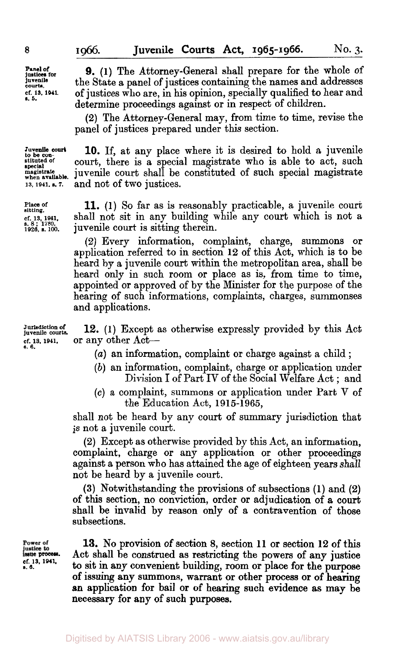**Panel of justices for juvenile court.. cf. 13. 1011. 1. 5.** 

*8* 

**9. (1)** The Attorney-General shall prepare for the whole of the State a panel of justices containing the names and addresses of justices who are, in his opinion, specially qualified to hear and determine proceedings against or in respect of children.

**(2)** The Attorney-General may, from time to time, revise the panel of justices prepared under this section.

**when available. 10.** If, at any place where it is desired to hold **a** juvenile court, there is a special magistrate who is able to act, such juvenile court shall be constituted of such special magistrate and not of two justices.

**Place of sitting. cf. 13. 1941. s. <sup>8</sup>**; **1780, 1920, S. 100.** 

**Juvenile court to be con- stituted of special magistrate** 

**13. 1941. a. 7.** 

**11. (1)** So far as is reasonably practicable, a juvenile court shall not sit in any building while any court which is not a juvenile court is sitting therein.

**(2)** Every information, complaint, charge, summons or application referred to in section **12** of this Act, which is to be heard by a juvenile court within the metropolitan area, shall be heard only in such room or place as is, from time to time, appointed or approved of by the Minister for the purpose of the hearing of such informations, complaints, charges, summonses and applications.

**Jurisdiction of juvenile courts. cf. 13. 1941. 8. 6. 12. (1)** Except as otherwise expressly provided by this Act or any other Act-

- *(a)* an information, complaint or charge against a child ;
- *(b)* an information, complaint, charge or application under Division I of Part IV of the Social Welfare Act ; and
- **(c)** a complaint, summons or application under Part V **of**  the Education Act, **191 5-1 965,**

shall not be heard by any court of summary jurisdiction that is not a juvenile court.

**(2)** Except as otherwise provided by this Act, an information, complaint, charge or any application or other proceedings against a person who has attained the age of eighteen years shall not be heard by a juvenile court.

**(3)** Notwithstanding the provisions of subsections **(1)** and **(2) of** this section, no conviction, order or adjudication of a court shall be invalid by reason only of a contravention of those subsections.

Power of **issue process.**  *cf.* **13 1941. a. 6.** 

**13. No** provision **of** section **8,** section **11** or section **12 of** this Act shall be construed as restricting the powers of any justice **to** sit in any convenient building, room **or** place **for** the purpose **of** issuing any summons, warrant **or** other process **or of hearing an** application **for** bail **or of hearing** such evidence as may be necessary **for** any of **such purposes.**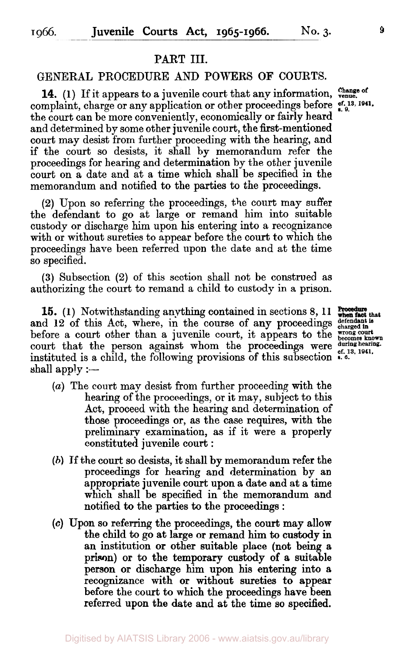## PART **III.**

#### GENERAL PROCEDURE AND POWERS **OF** COURTS.

**14.** (1) If it appears to a juvenile court that any information,  $\frac{\text{Change of}}{\text{range}}$ complaint, charge or any application or other proceedings before  $C_{s}^{f. 13, 1941}$ , the court can be more conveniently, economically **or** fairly heard and determined by some other juvenile court, the first-mentioned court may desist from further proceeding with the hearing, and if the court so desists, it shall by memorandum refer the proceedings for hearing and determination by the other juvenile court on a date and at a time which shall be specified in the memorandum and notified to the parties to the proceedings.

**(2)** Upon so referring the proceedings, the court may suffer the defendant to go at large or remand him into suitable custody or discharge him upon his entering into a recognizance with or without sureties to appear before the court to which the proceedings have been referred upon the date and at the time *so* specified.

**(3)** Subsection **(2)** of this section shall not be construed as authorizing the court to remand a child to custody in a prison.

**15.** (1) Notwithstanding anything contained in sections 8, 11 **Procedure** that and 12 of this Act, where, in the course of any proceedings defendant is before a court other than a juvenile court, it appears to the wrong court court that the person against whom the proceedings were during hearing. instituted is a child, the following provisions of this subsection **s. 6.**  shall apply  $:$   $-$ 

- *(a)* The court may desist from further proceeding with the hearing of the proceedings, or it may, subject to this Act, proceed with the hearing and determination of those proceedings or, as the case requires, with the preliminary examination, as if it were a properly constituted juvenile court :
- *(b)* If the **court** so desists, it shall by memorandum refer the proceedings for hearing and determination by an appropriate juvenile **court** upon a date and at a time which shall be specified in the memorandum and notified to the parties to the proceedings :
- **(c)** Upon *so* referring the proceedings, the **court** may allow the child to go at large **or** remand him to custody in an institution **or** other suitable place (not being a prison) **or** to the temporary custody **of** a suitable person **or** discharge him upon his entering into a recognizance with **or** without sureties to appear before the court to which the proceedings have been referred upon the date and at the time so specified.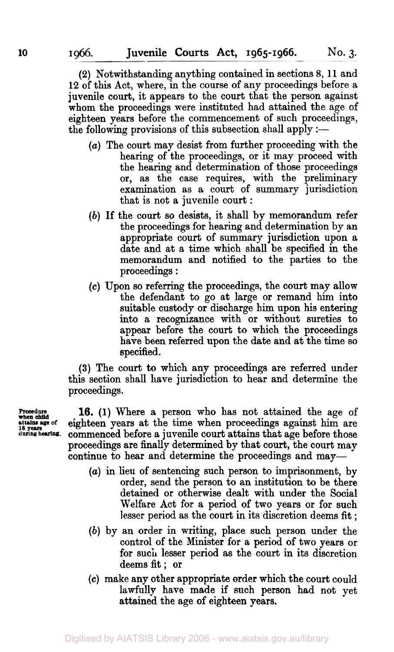(2) Notwithstanding anything contained in sections 8, 11 and 12 of this Act, where, in the course of any proceedings before a juvenile court, it appears to the court that the person against whom the proceedings were instituted had attained the age of eighteen years before the commencement of such proceedings, the following provisions of this subsection shall apply :-

- *(a)* The court may desist from further proceeding with the hearing of the proceedings, or it may proceed with the hearing and determination of those proceedings **or,** as the case requires, with the preliminary examination as a court of summary jurisdiction that is not a juvenile court :
- *(b)* **If** the court so desists, it shall by memorandum refer the proceedings for hearing and determination by an appropriate court of summary jurisdiction upon a date and at a time which shall be specified in the memorandum and notified to the parties to the proceedings :
- Upon *so* referring the proceedings, the court may allow the defendant to go at large **or** remand him into suitable custody or discharge him upon his entering into a recognizance with or without sureties to appear before the court to which the proceedings have been referred upon the date and at the time *so*  specified.

**(3)** The court **to** which **any** proceedings are referred under this section shall have jurisdiction to hear and determine the proceedings.

16. (1) Where a person who has not attained the age of **attains age of** eighteen years at the time when proceedings against him are commenced before a juvenile court attains that age before those proceedings are finally determined by that court, the court may continue to hear and determine the proceedings and **may-** 

- *(a)* in lieu of sentencing such person to imprisonment, by order, send the person to an institution to be there detained **or** otherwise dealt with under the Social Welfare Act for a period of two years **or** for such lesser period as the court in its discretion deems fit ;
- *(b)* by an order in writing, place such person under the control of the Minister **for** a period *of* two years or for such lesser period as the court in its discretion deems fit; **or**
- **(c)** make any other appropriate order which the court could lawfully have made if such person had not yet attained the age **of** eighteen years.

**when child**  during hearing.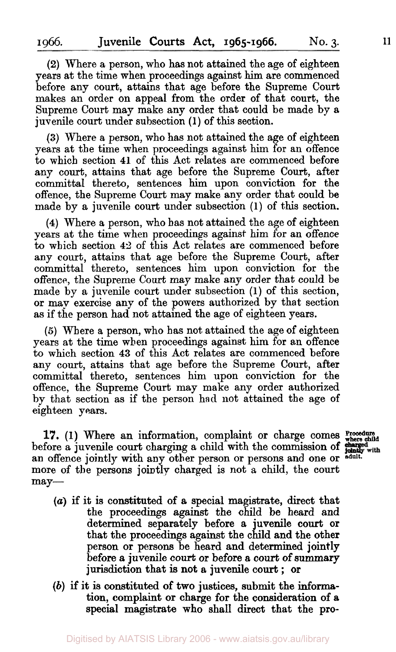**(2)** Where a person, who has not attained the age of eighteen years at the time when proceedings against him are commenced before any court, attains that age before the Supreme Court makes an order on appeal from the order of that court, the Supreme Court may make any order that could be made by a juvenile court under subsection **(1)** of this section.

**(3)** Where a person, who has not attained the age of eighteen years at the time when proceedings against him for **an** offence to which section **41** of this Act relates are commenced before any court, attains that age before the Supreme Court, after committal thereto, sentences him upon conviction for the offence, the Supreme Court may make any order that could be made by a juvenile court under subsection **(1)** of this section.

**(4)** Where a person, who has not attained the age of eighteen years at the time when proceedings against him for an offence to which section **42** of this Act relates are commenced before any court, attains that age before the Supreme Court, after committal thereto, sentences him upon conviction for the offence, the Supreme Court may make any order that could be made by a juvenile court under subsection **(1)** of this section, or **map** exercise any of the powers authorized by that section as if the person had not attained the age of eighteen years.

*(5)* Where a person, who has not attained the age of eighteen years at the time when proceedings against him for an offence to which section **43** of this Act relates are commenced before any court, attains that age before the Supreme Court, after committal thereto, sentences him upon conviction for the offence, the Supreme Court may make any order authorized by that section as if the person had not attained the age **of**  eighteen years.

17. **(1)** Where an information, complaint or charge comes **Procedure** where child before a juvenile court charging a child with the commission **of an** offence jointly with any other person **or** persons and one **or adult.**  more of the persons jointly charged is not **a** child, the court  $may-$ 

- 
- *(a)* if it is constituted **of** a special magistrate, direct that the proceedings against the child be heard and determined separately before **a** juvenile court **or**  that the proceedings against the child and the other person **or** persons be heard and determined jointly before **a** juvenile court **or** before *a* court of **summary**  jurisdiction that is **not** a juvenile court ; **or**
- *(b)* if it is constituted **of** two justices, submit the **informa**tion, complaint **or** charge **for** the consideration **of** a special magistrate who shall direct that the **pro-**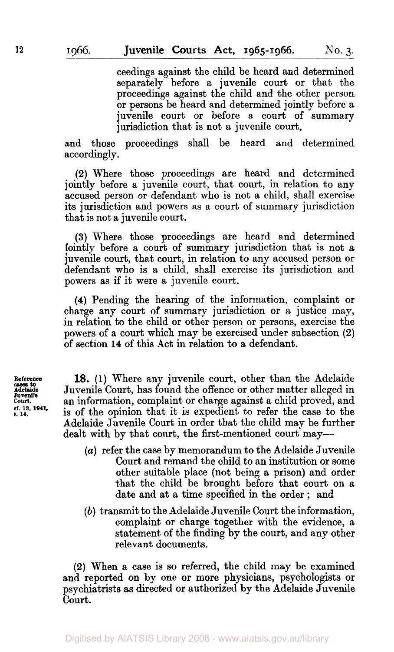ceedings against the child be heard and determined separately before a juvenile court or that the proceedings against the child and the other person **or** persons be heard and determined jointly before a juvenile court or before a court of summary jurisdiction that is not a juvenile court,

and those proceedings shall be heard and determined accordingly.

**(2)** Where those proceedings are heard and determined jointly before a juvenile court, that court, in relation to any accused person or defendant who is not a child, shall exercise its jurisdiction and powers as a court of summary jurisdiction that is not a juvenile court.

**(3)** Where those proceedings are heard and determined ointly before a court of summary jurisdiction that is not a juvenile court, that court, in relation to any accused person or defendant who is a child, shall exercise its jurisdiction and powers as if it were a juvenile court.

**(4)** Pending the hearing of the information, complaint **or**  charge any court of summary jurisdiction or **a** justice may, in relation to the child or other person or persons, exercise the powers of a court which may be exercised under subsection **(2)**  of section **14** of this Act in relation to a defendant.

**Reference Adelaide eases to court. Juvenile cf. 13, 1941. s. 14.** 

**18. (1)** Where any juvenile court, other than the Adelaide Juvenile Court, has found the offence or other matter alleged in an information, complaint or charge against a child proved, and is of the opinion that it is expedient to refer the case to the Adelaide Juvenile Court in order that the child may be further dealt with by that court, the first-mentioned court may-

- *(a)* refer the case by memorandum to the Adelaide Juvenile **Court** and remand the child to an institution **or** some other suitable place (not being a prison) and order that the child be brought before that court on a date and at a time specified in the order ; and
- *(b)* transmit to the Adelaide Juvenile Court the information, complaint or charge together with the evidence, a statement of the finding by the court, and any other relevant documents.

**(2)** When a case is so referred, the child may be examined and reported **on** by one or more physicians, psychologists **or**  psychiatrists as directed or authorized by the Adelaide Juvenile **court.**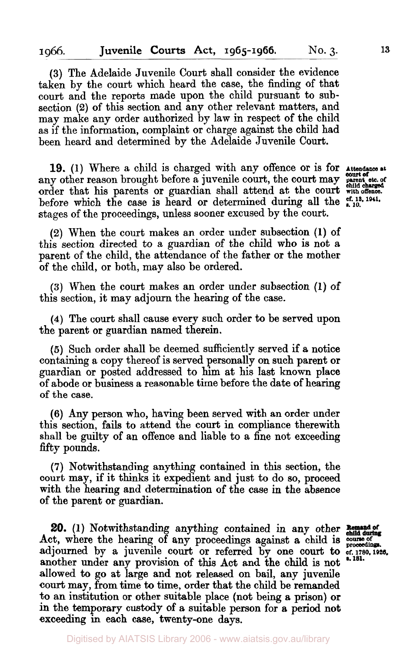**(3)** The Adelaide Juvenile Court shall consider the evidence taken by the court which heard the case, the finding of that court and the reports made upon the child pursuant to subsection **(2) of** this section and any other relevant matters, and may make any order authorized by law in respect of the child as if the information, complaint or charge against the child had been heard and determined by the Adelaide Juvenile Court.

**19. (1)** Where a child is charged with any offence or is for **Attendance at**  any other reason brought before a juvenile court, the court may **point of** the court order that his parents or guardian shall attend at the court **with offence.**  before which the case is heard or determined during all the  $_{4,10}^{et. 13, 1941}$ . stages of the proceedings, unless sooner excused by the court.

*court* **of** 

**(2)** When the court makes an order under subsection **(1)** of this section directed to a guardian of the child **who** is not a parent of the child, the attendance of the father or the mother of the child, **or** both, may also be ordered.

**(3)** When the court makes an order under subsection **(1)** of this section, it may adjourn the hearing of the case.

**(4)** The court shall cause every such order to be served upon the parent or guardian named therein.

*(5)* Such order shall be deemed sufficiently served if a notice containing a copy thereof is served personally on such parent or guardian or posted addressed to him at his last known place of abode or business a reasonable time before the date of hearing of the case.

**(6) Any** person who, having been served with an order under this section, fails to attend the court in compliance therewith shall be guilty of an offence and liable to a fine not exceeding fifty pounds.

**(7)** Notwithstanding anything contained in this section, the court may, if it thinks it expedient and just to do so, proceed with the hearing and determination of the case **in** the absence of the parent or guardian.

**20. (1)** Notwithstanding **anything** contained in any other Act, where the hearing of any proceedings against a child is course of adjourned by a juvenile court or referred by one court to **cf. 1780, 1926. s. 181.**  another under any provision of this Act and the child is not allowed to *go* at large and not released on bail, any juvenile court may, **from** time to time, order that the child be remanded to an institution **or** other suitable place (not being a prison) **or**  in the temporary custody of a suitable person for a period **not**  exceeding in each case, twenty-one days.